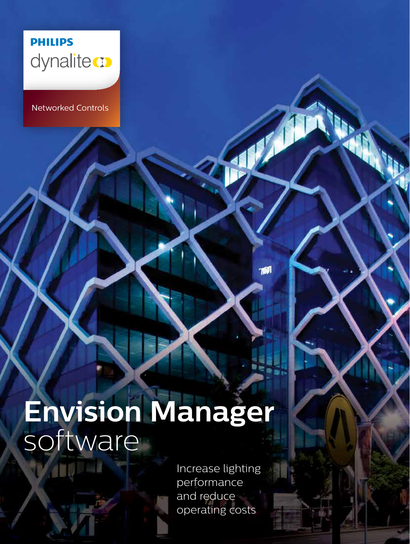

Networked Controls

### **Envision Manager** software

Increase lighting performance and reduce operating costs

7801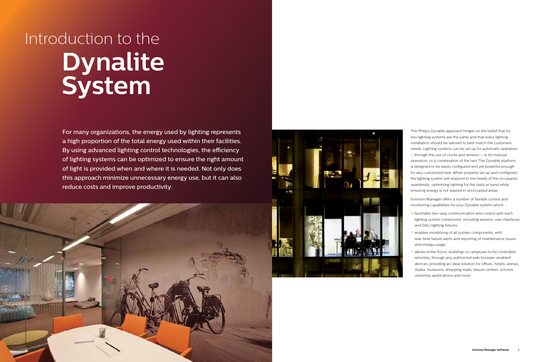



The Philips Dynalite approach hinges on the belief that no two lighting systems are the same and that every lighting installation should be tailored to best match the customers needs. Lighting systems can be set up for automatic operation – through the use of clocks and sensors – or for manual operation, or a combination of the two. The Dynalite platform is designed to be easily configured and yet powerful enough for any customized task. When properly set up and configured, the lighting system will respond to the needs of the occupants seamlessly; optimizing lighting for the tasks at hand while ensuring energy is not wasted in unoccupied areas.

Envision Manager offers a number of flexible control and monitoring capabilities for your Dynalite system which:

- facilitates two-way communication and control with each lighting system component, including sensors, user interfaces and DALI lighting fixtures.
- enables monitoring of all system components, with real-time failure alerts and reporting of maintenance issues and energy usage.
- allows entire floors, buildings or campuses to be controlled remotely, through any authorized web browser-enabled devices, providing an ideal solution for offices, hotels, arenas, stadia, museums, shopping malls, leisure centers, schools, university applications and more.

## Introduction to the **Dynalite System**

For many organizations, the energy used by lighting represents a high proportion of the total energy used within their facilities. By using advanced lighting control technologies, the efficiency of lighting systems can be optimized to ensure the right amount of light is provided when and where it is needed. Not only does this approach minimize unnecessary energy use, but it can also reduce costs and improve productivity.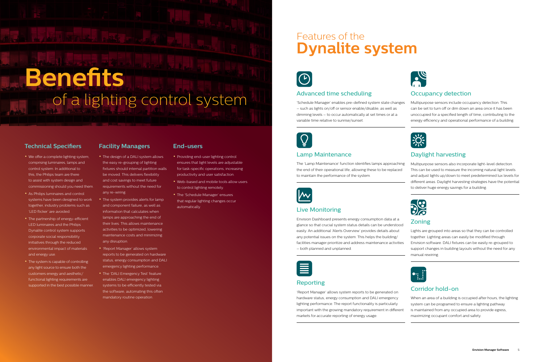#### **Technical Specifiers Facility Managers End-users**

- We offer a complete lighting system, comprising luminaires, lamps and control system. In additional to this, the Philips team are there to assist with system design and commissioning should you need them.
- As Philips luminaires and control systems have been designed to work together, industry problems such as 'LED flicker' are avoided.
- The partnership of energy-efficient LED luminaires and the Philips Dynalite control system supports corporate social responsibility initiatives through the reduced environmental impact of materials and energy use.
- The system is capable of controlling any light source to ensure both the customers energy and aesthetic/ functional lighting requirements are supported in the best possible manner.

- The design of a DALI system allows the easy re-grouping of lighting fixtures should internal partition walls be moved. This delivers flexibility and cost savings to meet future requirements without the need for any re-wiring.
- The system provides alerts for lamp and component failure, as well as information that calculates when lamps are approaching the end of their lives. This allows maintenance activities to be optimized, lowering maintenance costs and minimizing any disruption.
- 'Report Manager' allows system reports to be generated on hardware status, energy consumption and DALI emergency lighting performance.
- The 'DALI Emergency Test' feature enables DALI emergency lighting systems to be efficiently tested via the software, automating this often mandatory routine operation.

- Providing end-user lighting control ensures that light levels are adjustable for task-specific operations, increasing productivity and user satisfaction.
- Web-based and mobile tools allow users to control lighting remotely.
- The 'Schedule Manager' ensures that regular lighting changes occur automatically.

### Advanced time scheduling

'Schedule Manager' enables pre-defined system state changes – such as lights on/off or sensor enable/disable, as well as dimming levels – to occur automatically at set times or at a variable time relative to sunrise/sunset.

#### Lamp Maintenance

#### Live Monitoring

Envision Dashboard presents energy consumption data at a glance so that crucial system status details can be understood easily. An additional 'Alerts Overview' provides details about any potential issues on the system. This helps the building/ facilities manager prioritize and address maintenance activities – both planned and unplanned.



#### Reporting

'Report Manager' allows system reports to be generated on hardware status, energy consumption and DALI emergency lighting performance. The report functionality is particularly important with the growing mandatory requirement in different markets for accurate reporting of energy usage.





The 'Lamp Maintenance' function identifies lamps approaching the end of their operational life, allowing these to be replaced to maintain the performance of the system. Multipurpose sensors also incorporate light-level detection. This can be used to measure the incoming natural light levels and adjust lights up/down to meet predetermined lux levels for different areas. Daylight harvesting strategies have the potential to deliver huge energy savings for a building.



#### Occupancy detection

Multipurpose sensors include occupancy detection. This can be set to turn off or dim down an area once it has been unoccupied for a specified length of time, contributing to the energy efficiency and operational performance of a building.



### Daylight harvesting



#### Zoning

Lights are grouped into areas so that they can be controlled together. Lighting areas can easily be modified through Envision software. DALI fixtures can be easily re-grouped to support changes in building layouts without the need for any manual rewiring.



#### Corridor hold-on

When an area of a building is occupied after hours, the lighting system can be programed to ensure a lighting pathway is maintained from any occupied area to provide egress, maximizing occupant comfort and safety.

### Features of the **Dynalite system**



# **Benefits** of a lighting control system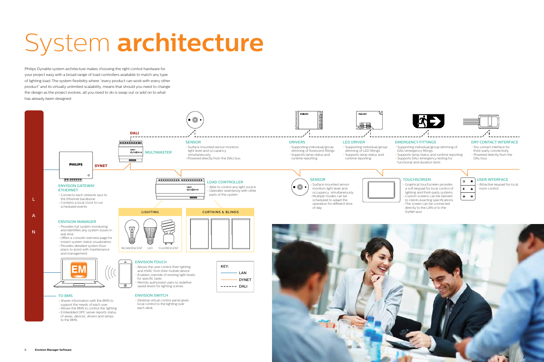# System **architecture**





- 
- 

Philips Dynalite system architecture makes choosing the right control hardware for your project easy with a broad range of load controllers available to match any type of lighting load. The system flexibility where "every product can work with every other product" and its virtually unlimited scalability, means that should you need to change the design as the project evolves, all you need to do is swap out or add on to what has already been designed.



- 
- 
-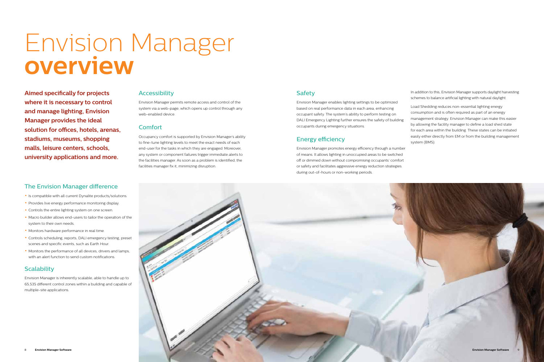

## Envision Manager **overview**

Envision Manager enables lighting settings to be optimized based on real performance data in each area, enhancing occupant safety. The system's ability to perform testing on DALI Emergency Lighting further ensures the safety of building occupants during emergency situations.

### Energy efficiency

Envision Manager promotes energy efficiency through a number of means. It allows lighting in unoccupied areas to be switched off or dimmed down without compromising occupants' comfort or safety and facilitates aggressive energy reduction strategies during out-of-hours or non-working periods.

In addition to this, Envision Manager supports daylight harvesting schemes to balance artificial lighting with natural daylight.

Load Shedding reduces non-essential lighting energy consumption and is often required as part of an energy management strategy. Envision Manager can make this easier by allowing the facility manager to define a load shed state for each area within the building. These states can be initiated easily either directly from EM or from the building management system (BMS).

Envision Manager permits remote access and control of the system via a web-page, which opens up control through any web-enabled device

#### **Comfort**

**Aimed specifically for projects where it is necessary to control and manage lighting, Envision Manager provides the ideal solution for offices, hotels, arenas, stadiums, museums, shopping malls, leisure centers, schools, university applications and more.**

#### The Envision Manager difference

- Is compatible with all current Dynalite products/solutions.
- Provides live energy performance monitoring display.
- Controls the entire lighting system on one screen.
- Macro builder allows end-users to tailor the operation of the system to their own needs.
- Monitors hardware performance in real time.
- Controls scheduling, reports, DALI emergency testing, preset scenes and specific events, such as Earth Hour.
- Monitors the performance of all devices, drivers and lamps, with an alert function to send custom notifications.

#### **Scalability**

Envision Manager is inherently scalable, able to handle up to 65,535 different control zones within a building and capable of multiple-site applications.

#### Accessibility

Occupancy comfort is supported by Envision Manager's ability to fine-tune lighting levels to meet the exact needs of each end-user for the tasks in which they are engaged. Moreover, any system or component failures trigger immediate alerts to the facilities manager. As soon as a problem is identified, the facilities manager fix it, minimizing disruption.

### **Safety**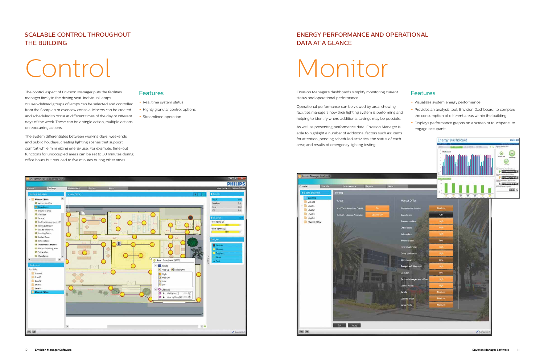Envision Manager's dashboards simplify monitoring current status and operational performance.

Operational performance can be viewed by area, showing facilities managers how their lighting system is performing and helping to identify where additional savings may be possible.

As well as presenting performance data, Envision Manager is able to highlight a number of additional factors such as: items for attention, pending scheduled activities, the status of each





#### Features

- Visualizes system energy performance
- Provides an analysis tool, Envision Dashboard, to compare the consumption of different areas within the building
- Displays performance graphs on a screen or touchpanel to engage occupants

## Monitor

The control aspect of Envision Manager puts the facilities manager firmly in the driving seat. Individual lamps or user-defined groups of lamps can be selected and controlled from the floorplan or overview console. Macros can be created and scheduled to occur at different times of the day or different days of the week. These can be a single action, multiple actions or reoccurring actions.

The system differentiates between working days, weekends and public holidays, creating lighting scenes that support comfort while minimizing energy use. For example, time-out functions for unoccupied areas can be set to 30 minutes during office hours but reduced to five minutes during other times.

#### **Features**

- Real time system status
- Highly granular control options
- Streamlined operation

## Control

### SCALABLE CONTROL THROUGHOUT THE BUILDING

### ENERGY PERFORMANCE AND OPERATIONAL DATA AT A GLANCE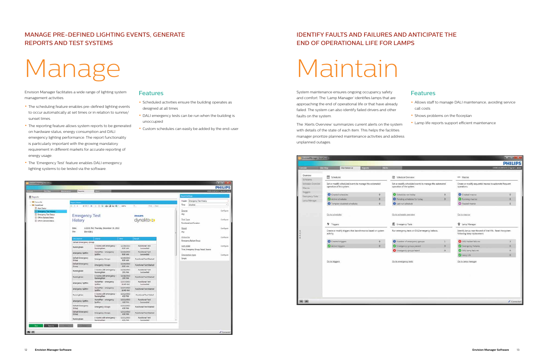System maintenance ensures ongoing occupancy safety and comfort. The 'Lamp Manager' identifies lamps that are approaching the end of operational life or that have already failed. The system can also identify failed drivers and other faults on the system.

The 'Alerts Overview' summarizes current alerts on the system with details of the state of each item. This helps the facilities manager prioritize planned maintenance activities and address unplanned outages.

| <b>Site Map</b>   | Maintenance                                                                        | Reports                                                                                                  | <b>Alerts</b> |                                                                   |  |
|-------------------|------------------------------------------------------------------------------------|----------------------------------------------------------------------------------------------------------|---------------|-------------------------------------------------------------------|--|
|                   |                                                                                    |                                                                                                          |               | 霝<br>Schedule Ove                                                 |  |
| Schedule Overview | Set or modify scheduled events to manage the automated<br>operation of the system. |                                                                                                          |               |                                                                   |  |
|                   |                                                                                    |                                                                                                          |               | Schedules run                                                     |  |
|                   | Active schedules<br>O                                                              |                                                                                                          |               |                                                                   |  |
|                   | Tempory disabled schedules<br>ō                                                    |                                                                                                          |               |                                                                   |  |
|                   | Go to schedules                                                                    |                                                                                                          |               |                                                                   |  |
|                   |                                                                                    |                                                                                                          |               | <b>W</b> Emergency Te                                             |  |
|                   |                                                                                    |                                                                                                          |               | Run emergency te                                                  |  |
|                   | Created triggers<br>0                                                              |                                                                                                          |               |                                                                   |  |
|                   |                                                                                    |                                                                                                          | o             | Emergency gr                                                      |  |
|                   |                                                                                    |                                                                                                          |               | <b>C</b> Emergency gr                                             |  |
|                   |                                                                                    |                                                                                                          |               | Go to emergency f                                                 |  |
|                   |                                                                                    |                                                                                                          |               |                                                                   |  |
|                   |                                                                                    |                                                                                                          |               |                                                                   |  |
|                   |                                                                                    |                                                                                                          |               |                                                                   |  |
|                   | <b>Emergency Tests</b><br>Lamp Manager                                             | 19 Schedules<br>Created schedules<br><i>h</i> Triggers<br>activity.<br>Active triggers<br>Go to triggers |               | o<br>Create or modify triggers that launch macros based on system |  |

#### Features

- Allows staff to manage DALI maintenance, avoiding service call costs
- Shows problems on the floorplan
- Lamp life reports support efficient maintenance

| CODE1\310072271   log out   about<br>Macros<br>ew<br>led events to manage the automated<br>Create or modify sequential macros to automate frequent<br>operations.<br>m.<br>Created macros<br>O.<br>day<br>Running macros<br>es for today<br>$\Omega$<br>Paused macros<br>ŧ,<br>iew<br>Go to macros<br>Lamp Manager<br>on DALI emergency ballasts.<br>Identify lamps near the end of their life. Reset the system<br>following lamp replacement.<br>DALI ballast failures<br>$\mathbf{1}$<br>gency groups | <b>PHIL</b><br>O.<br>$\mathbf{0}$<br>o. |
|----------------------------------------------------------------------------------------------------------------------------------------------------------------------------------------------------------------------------------------------------------------------------------------------------------------------------------------------------------------------------------------------------------------------------------------------------------------------------------------------------------|-----------------------------------------|
|                                                                                                                                                                                                                                                                                                                                                                                                                                                                                                          |                                         |
|                                                                                                                                                                                                                                                                                                                                                                                                                                                                                                          |                                         |
|                                                                                                                                                                                                                                                                                                                                                                                                                                                                                                          |                                         |
|                                                                                                                                                                                                                                                                                                                                                                                                                                                                                                          |                                         |
|                                                                                                                                                                                                                                                                                                                                                                                                                                                                                                          |                                         |
|                                                                                                                                                                                                                                                                                                                                                                                                                                                                                                          |                                         |
|                                                                                                                                                                                                                                                                                                                                                                                                                                                                                                          |                                         |
|                                                                                                                                                                                                                                                                                                                                                                                                                                                                                                          |                                         |
|                                                                                                                                                                                                                                                                                                                                                                                                                                                                                                          |                                         |
|                                                                                                                                                                                                                                                                                                                                                                                                                                                                                                          |                                         |
|                                                                                                                                                                                                                                                                                                                                                                                                                                                                                                          | 3                                       |
| Emergency Failures<br>ps passed<br>$\Omega$                                                                                                                                                                                                                                                                                                                                                                                                                                                              | $\mathbf{0}$                            |
| ps failed<br>o<br><b>O</b> DALI lamp failures                                                                                                                                                                                                                                                                                                                                                                                                                                                            | o                                       |
| Lamp Life                                                                                                                                                                                                                                                                                                                                                                                                                                                                                                | 0                                       |
| Go to lamp manager                                                                                                                                                                                                                                                                                                                                                                                                                                                                                       |                                         |

## Maintain

Envision Manager facilitates a wide range of lighting system management activities.

- The scheduling feature enables pre-defined lighting events to occur automatically at set times or in relation to sunrise/ sunset times.
- The reporting feature allows system reports to be generated on hardware status, energy consumption and DALI emergency lighting performance. The report functionality is particularly important with the growing mandatory requirement in different markets for accurate reporting of energy usage.
- The 'Emergency Test' feature enables DALI emergency lighting systems to be tested via the software.

| <b>Distributed</b>                                                              | <b>Malterson</b><br><b>Reports</b>       |                                              |                                |                                     |                                                     | <b>PHILIPS</b><br>cooksumersity   Ingred   Mood |
|---------------------------------------------------------------------------------|------------------------------------------|----------------------------------------------|--------------------------------|-------------------------------------|-----------------------------------------------------|-------------------------------------------------|
| <b>B</b> Reports                                                                |                                          |                                              |                                |                                     | <b>Argent Settings</b>                              |                                                 |
| + III Favourite                                                                 | <b>Report Mewer</b>                      |                                              |                                |                                     | Header: Emergency Test History                      |                                                 |
| - Illi Predefinati<br><b>Collect Status</b><br><b>III</b> Emergency Test Hotels | $H = 1$                                  | #37 H + ■ © 曲目和 H- 10%                       |                                | ÷<br>First 1. Next                  | Time<br>Anytime<br><b>Zoone</b>                     | $\sim$<br>Configure                             |
| Energency Test Status                                                           | <b>Emergency Test</b>                    |                                              |                                | <b>PHILIPS</b>                      | Any                                                 |                                                 |
| Cifford Ballasts Status<br><b>CHine Devices Status</b>                          | History                                  |                                              |                                | dynalite ::                         | Test Type<br>Furnitunal and Duration                | Configure                                       |
|                                                                                 | Date:<br>Site<br>EM-JOB-1                | 1:32:31 PM. Thursday, December 19, 2013      |                                |                                     | <b>News</b><br>Ariz                                 | Configure                                       |
|                                                                                 | Description<br>Default Emergency Group   | <b>Source</b>                                | <b>Time</b>                    | <b>Katas</b>                        | Group by<br><b>Emergency Ballast Group</b>          | Configure                                       |
|                                                                                 | <b>HunningMan</b>                        | 4 rooms with emergency -<br>RunningMan       | 12/19/2013<br>9:30 AM          | Functional Teld<br>Succeeded        | Sort.ordet<br>Time, Emergency Group, Result, Source | Codgare                                         |
|                                                                                 | emergency Spitfire                       | HoneRie: / emergency<br><b>Spitfale</b>      | 12/19/2013<br>9:30 AM          | <b>Functional Test</b><br>Succeeded | Description have                                    | Configure                                       |
|                                                                                 | Default Emergency<br>Group.              | <b>Emergency Groups</b>                      | 12/19/2013<br>9:30 AM          | Functional Test Started             | Smoke                                               |                                                 |
|                                                                                 | Default Emergency<br>Group               | Emergency Groups                             | 12/18/2019<br>9:30 AM          | Functional Test Started             |                                                     |                                                 |
|                                                                                 | RummgMan                                 | 2 rooms with emergency :<br>RúnningMan       | 12/18/2013<br>2019M            | Functional Test<br>Succeeded        |                                                     |                                                 |
|                                                                                 | RawingMan                                | A rooms with emergency +<br>Runninghian      | 12/18/2013<br>2:00 PM          | Functional Test Started             |                                                     |                                                 |
|                                                                                 | emergency Spittine                       | HomeRlan - emergency.<br>Solitare            | 12/17/2013<br>10:40 AM         | <b>Punctional Test</b><br>Succeeded |                                                     |                                                 |
|                                                                                 | emergency Spitfire                       | HomePlan / emergency<br>Spiding <sup>*</sup> | 12/17/2013<br><b>MA: 04/02</b> | Functional Test Started             |                                                     |                                                 |
|                                                                                 | RunningMan                               | 4 rooms with emergency -<br>RunningMan       | 12/12/2013<br>4.32 PM          | <b>Functional Test Failed</b>       |                                                     |                                                 |
|                                                                                 | amargency Spitfire                       | HomeRlah - emergency<br>Solding              | 12/12/2013<br>4:50 PM          | <b>Fundianal Test</b><br>Succeeded  |                                                     |                                                 |
|                                                                                 | <b>Default Emergency</b><br><b>Group</b> | <b>Emergency Groups</b>                      | 12/12/2013<br>4:30 PM          | Functional Text Started             |                                                     |                                                 |
|                                                                                 | Default Emergency<br>Group               | <b>Emergency Groups</b>                      | 12/12/2013<br>4:00 PM          | Functional Test Started             |                                                     |                                                 |
|                                                                                 | <b>RunningMan</b>                        | 4 rooms with emergency -<br>RunningMan       | 13/11/3011<br>4:31 PM          | <b>Functional Test</b><br>Succeeded |                                                     |                                                 |

#### **Features**

- Scheduled activities ensure the building operates as designed at all times
- DALI emergency tests can be run when the building is unoccupied
- Custom schedules can easily be added by the end-user

## Manage

#### MANAGE PRE-DEFINED LIGHTING EVENTS, GENERATE REPORTS AND TEST SYSTEMS

### IDENTIFY FAULTS AND FAILURES AND ANTICIPATE THE END OF OPERATIONAL LIFE FOR LAMPS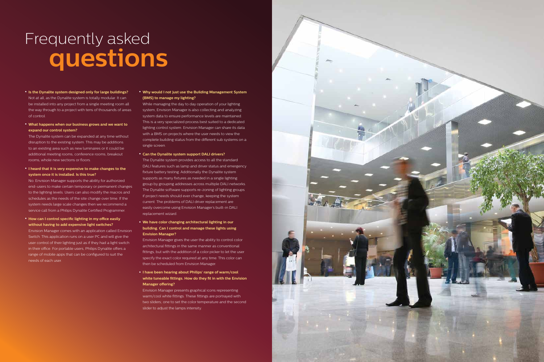

### Frequently asked **questions**

- **Is the Dynalite system designed only for large buildings?** Not at all, as the Dynalite system is totally modular. It can be installed into any project from a single meeting room all the way through to a project with tens of thousands of areas of control.
- **What happens when our business grows and we want to expand our control system?**

The Dynalite system can be expanded at any time without disruption to the existing system. This may be additions to an existing area such as new luminaires or it could be additional meeting rooms, conference rooms, breakout rooms, whole new sections or floors.

• **I heard that it is very expensive to make changes to the system once it is installed. Is this true?**

No. Envision Manager supports the ability for authorized end-users to make certain temporary or permanent changes to the lighting levels. Users can also modify the macros and schedules as the needs of the site change over time. If the system needs large scale changes then we recommend a service call from a Philips Dynalite Certified Programmer.

• **How can I control specific lighting in my office easily without having to add expensive light switches?** Envision Manager comes with an application called Envision Switch. This application runs on a user PC and will give the user control of their lighting just as if they had a light switch in their office. For portable users, Philips Dynalite offers a range of mobile apps that can be configured to suit the needs of each user.

#### • **Why would I not just use the Building Management System (BMS) to manage my lighting?**

While managing the day to day operation of your lighting system, Envision Manager is also collecting and analyzing system data to ensure performance levels are maintained. This is a very specialized process best suited to a dedicated lighting control system. Envision Manager can share its data with a BMS on projects where the user needs to view the complete building status from the different sub systems on a single screen.

#### • **Can the Dynalite system support DALI drivers?**

The Dynalite system provides access to all the standard DALI features such as lamp and driver status and emergency fixture battery testing. Additionally the Dynalite system supports as many fixtures as needed in a single lighting group by grouping addresses across multiple DALI networks. The Dynalite software supports re-zoning of lighting groups if project needs should ever change, keeping the system current. The problems of DALI driver replacement are easily overcome using Envision Manager's built-in DALI replacement wizard.

#### • **We have color changing architectural lighting in our building. Can I control and manage these lights using Envision Manager?**

Envision Manager gives the user the ability to control color architectural fittings in the same manner as conventional fittings, but with the addition of a color picker to let the user specify the exact color required at any time. This color can then be scheduled from Envision Manager.

• **I have been hearing about Philips' range of warm/cool white tuneable fittings. How do they fit in with the Envision Manager offering?**

Envision Manager presents graphical icons representing warm/cool white fittings. These fittings are portrayed with two sliders; one to set the color temperature and the second slider to adjust the lamps intensity.